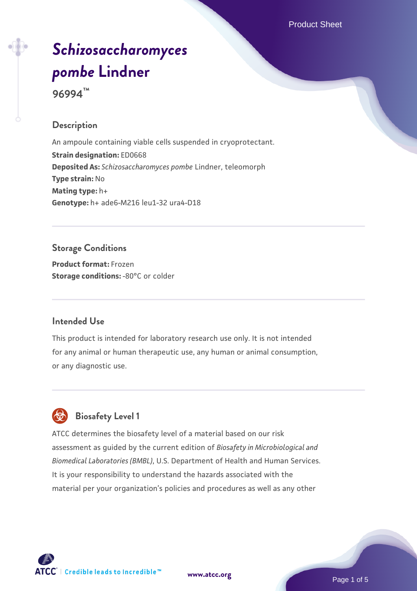# *[Schizosaccharomyces](https://www.atcc.org/products/96994) [pombe](https://www.atcc.org/products/96994)* **[Lindner](https://www.atcc.org/products/96994)**

**96994™**

## **Description**

An ampoule containing viable cells suspended in cryoprotectant. **Strain designation:** ED0668 **Deposited As:** *Schizosaccharomyces pombe* Lindner, teleomorph **Type strain:** No **Mating type:** h+ **Genotype:** h+ ade6-M216 leu1-32 ura4-D18

#### **Storage Conditions**

**Product format:** Frozen **Storage conditions: -80°C or colder** 

### **Intended Use**

This product is intended for laboratory research use only. It is not intended for any animal or human therapeutic use, any human or animal consumption, or any diagnostic use.



## **Biosafety Level 1**

ATCC determines the biosafety level of a material based on our risk assessment as guided by the current edition of *Biosafety in Microbiological and Biomedical Laboratories (BMBL)*, U.S. Department of Health and Human Services. It is your responsibility to understand the hazards associated with the material per your organization's policies and procedures as well as any other



**[www.atcc.org](http://www.atcc.org)**

Page 1 of 5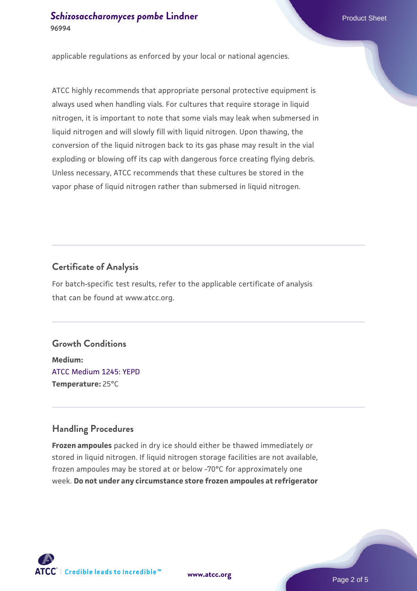applicable regulations as enforced by your local or national agencies.

ATCC highly recommends that appropriate personal protective equipment is always used when handling vials. For cultures that require storage in liquid nitrogen, it is important to note that some vials may leak when submersed in liquid nitrogen and will slowly fill with liquid nitrogen. Upon thawing, the conversion of the liquid nitrogen back to its gas phase may result in the vial exploding or blowing off its cap with dangerous force creating flying debris. Unless necessary, ATCC recommends that these cultures be stored in the vapor phase of liquid nitrogen rather than submersed in liquid nitrogen.

### **Certificate of Analysis**

For batch-specific test results, refer to the applicable certificate of analysis that can be found at www.atcc.org.

#### **Growth Conditions**

**Medium:**  [ATCC Medium 1245: YEPD](https://www.atcc.org/-/media/product-assets/documents/microbial-media-formulations/1/2/4/5/atcc-medium-1245.pdf?rev=705ca55d1b6f490a808a965d5c072196) **Temperature:** 25°C

#### **Handling Procedures**

**Frozen ampoules** packed in dry ice should either be thawed immediately or stored in liquid nitrogen. If liquid nitrogen storage facilities are not available, frozen ampoules may be stored at or below -70°C for approximately one week. **Do not under any circumstance store frozen ampoules at refrigerator**



**[www.atcc.org](http://www.atcc.org)**

Page 2 of 5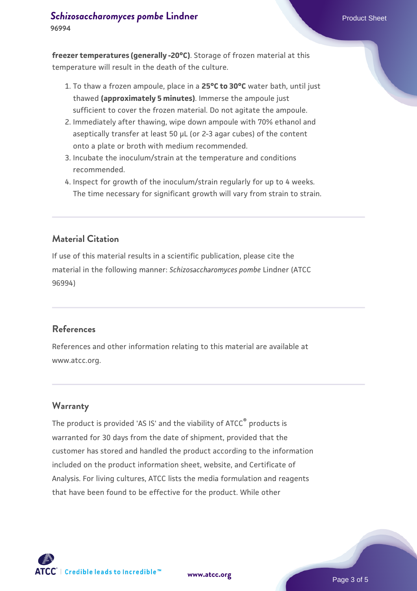**freezer temperatures (generally -20°C)**. Storage of frozen material at this temperature will result in the death of the culture.

- 1. To thaw a frozen ampoule, place in a **25°C to 30°C** water bath, until just thawed **(approximately 5 minutes)**. Immerse the ampoule just sufficient to cover the frozen material. Do not agitate the ampoule.
- 2. Immediately after thawing, wipe down ampoule with 70% ethanol and aseptically transfer at least 50 µL (or 2-3 agar cubes) of the content onto a plate or broth with medium recommended.
- 3. Incubate the inoculum/strain at the temperature and conditions recommended.
- 4. Inspect for growth of the inoculum/strain regularly for up to 4 weeks. The time necessary for significant growth will vary from strain to strain.

## **Material Citation**

If use of this material results in a scientific publication, please cite the material in the following manner: *Schizosaccharomyces pombe* Lindner (ATCC 96994)

#### **References**

References and other information relating to this material are available at www.atcc.org.

#### **Warranty**

The product is provided 'AS IS' and the viability of ATCC<sup>®</sup> products is warranted for 30 days from the date of shipment, provided that the customer has stored and handled the product according to the information included on the product information sheet, website, and Certificate of Analysis. For living cultures, ATCC lists the media formulation and reagents that have been found to be effective for the product. While other



**[www.atcc.org](http://www.atcc.org)**

Page 3 of 5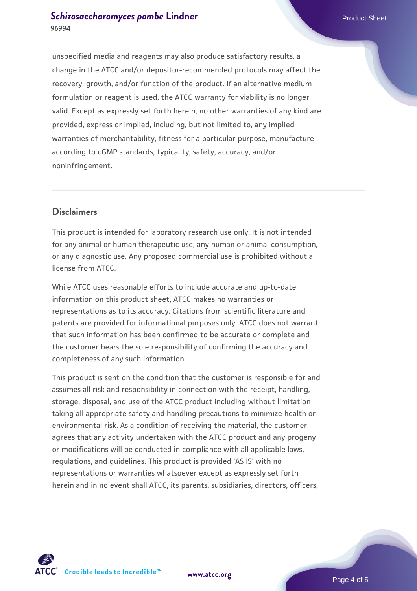unspecified media and reagents may also produce satisfactory results, a change in the ATCC and/or depositor-recommended protocols may affect the recovery, growth, and/or function of the product. If an alternative medium formulation or reagent is used, the ATCC warranty for viability is no longer valid. Except as expressly set forth herein, no other warranties of any kind are provided, express or implied, including, but not limited to, any implied warranties of merchantability, fitness for a particular purpose, manufacture according to cGMP standards, typicality, safety, accuracy, and/or noninfringement.

#### **Disclaimers**

This product is intended for laboratory research use only. It is not intended for any animal or human therapeutic use, any human or animal consumption, or any diagnostic use. Any proposed commercial use is prohibited without a license from ATCC.

While ATCC uses reasonable efforts to include accurate and up-to-date information on this product sheet, ATCC makes no warranties or representations as to its accuracy. Citations from scientific literature and patents are provided for informational purposes only. ATCC does not warrant that such information has been confirmed to be accurate or complete and the customer bears the sole responsibility of confirming the accuracy and completeness of any such information.

This product is sent on the condition that the customer is responsible for and assumes all risk and responsibility in connection with the receipt, handling, storage, disposal, and use of the ATCC product including without limitation taking all appropriate safety and handling precautions to minimize health or environmental risk. As a condition of receiving the material, the customer agrees that any activity undertaken with the ATCC product and any progeny or modifications will be conducted in compliance with all applicable laws, regulations, and guidelines. This product is provided 'AS IS' with no representations or warranties whatsoever except as expressly set forth herein and in no event shall ATCC, its parents, subsidiaries, directors, officers,